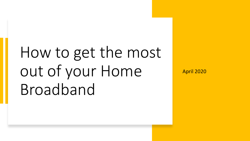# How to get the most out of your Home Broadband

April 2020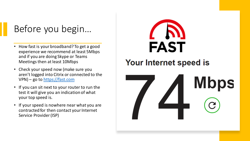## Before you begin…

- How fast is your broadband? To get a good experience we recommend at least 5Mbps and if you are doing Skype or Teams Meetings then at least 10Mbps
- Check your speed now (make sure you aren't logged into Citrix or connected to the VPN) – go to [https://fast.com](https://fast.com/)
- If you can sit next to your router to run the test it will give you an indication of what your top speed is.
- If your speed is nowhere near what you are contracted for then contact your Internet Service Provider (ISP)



#### Your Internet speed is

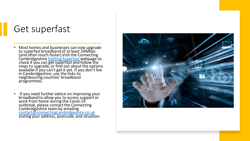### Get superfast

- Most homes and businesses can now upgrade to superfast broadband of at least 24Mbps (and often much faster).Visit the Connecting Cambridgeshire <u>Getting Superfast</u> webpage to check if you can get superfast and follow the steps to upgrade, or find out about the options available if you can't get it yet. If you don't live in Cambridgeshire, use the links to neighbouring counties' broadband programmes.
- If you need further advice on improving your broadband to allow you to access support or work from home during the Covid-19 outbreak, please contact the Connecting Cambridgeshire team by emailing [contact@connectingcambridgeshire.co.uk](mailto:contact@connectingcambridgeshire.co.uk) stating your address, postcode, and situation.

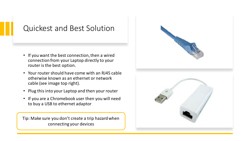#### Quickest and Best Solution

- If you want the best connection, then a wired connection from your Laptop directly to your router is the best option.
- Your router should have come with an RJ45 cable otherwise known as an ethernet or network cable (see image top right).
- Plug this into your Laptop and then your router
- If you are a Chromebook user then you will need to buy a USB to ethernet adaptor

Tip: Make sure you don't create a trip hazard when connecting your devices

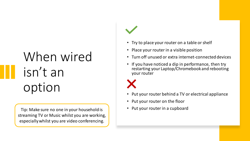# When wired isn't an option

Tip: Make sure no one in your household is **Pullace 10 Your of the Union Contract** Tip: Make sure no one in your household is streaming TV or Music whilst you are working, especially whilst you are video conferencing.

- Try to place your router on a table or shelf
- Place your router in a visible position
- Turn off unused or extra internet-connected devices
- If you have noticed a dip in performance, then try restarting your Laptop/Chromebook and rebooting your router

- Put your router behind a TV or electrical appliance
- Put your router on the floor
-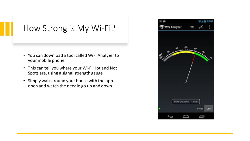#### How Strong is My Wi-Fi?

- You can download a tool called WiFi Analyzer to your mobile phone
- This can tell you where your Wi-Fi Hot and Not Spots are, using a signal strength gauge
- Simply walk around your house with the app open and watch the needle go up and down

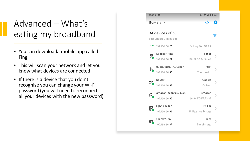### Advanced – What's eating my broadband

- You can downloada mobile app called Fing
- This will scan your network and let you know what devices are connected
- If there is a device that you don't recognise you can change your Wi-Fi password (you will need to reconnect all your devices with the new password)

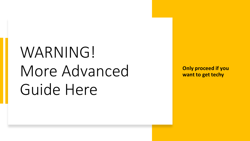# WARNING! More Advanced Guide Here

**Only proceed if you want to get techy**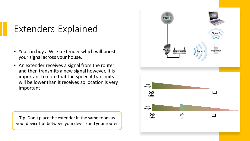## Extenders Explained

- You can buy a Wi-Fi extender which will boost your signal across your house.
- An extender receives a signal from the router and then transmits a new signal however, it is important to note that the speed it transmits will be lower than it receives so location is very important

Tip: Don't place the extender in the same room as your device but between your device and your router

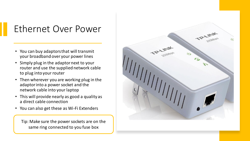## Ethernet Over Power

- You can buy adaptors that will transmit your broadband over your power lines
- Simply plug in the adaptor next to your router and use the supplied network cable to plug into your router
- Then wherever you are working plug in the adaptor into a power socket and the network cable into your laptop
- This will provide nearly as good a quality as a direct cable connection
- You can also get these as Wi-Fi Extenders

Tip: Make sure the power sockets are on the same ring connected to you fuse box

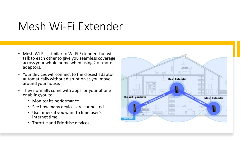## Mesh Wi-Fi Extender

- Mesh Wi-Fi is similar to Wi-Fi Extenders but will talk to each other to give you seamless coverage across your whole home when using 2 or more adaptors.
- Your devices will connect to the closest adaptor automatically without disruption as you move around your house.
- They normally come with apps for your phone enabling you to
	- Monitor its performance
	- See how many devices are connected
	- Use timers if you want to limit user's internet time
	- Throttle and Prioritise devices

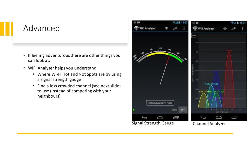#### Advanced

- If feeling adventurous there are other things you can look at.
- WiFi Analyzer helps you understand
	- Where Wi-Fi Hot and Not Spots are by using a signal strength gauge
	- Find a less crowded channel (see next slide) to use (instead of competing with your neighbours)



Signal Strength Gauge Channel Analyzer